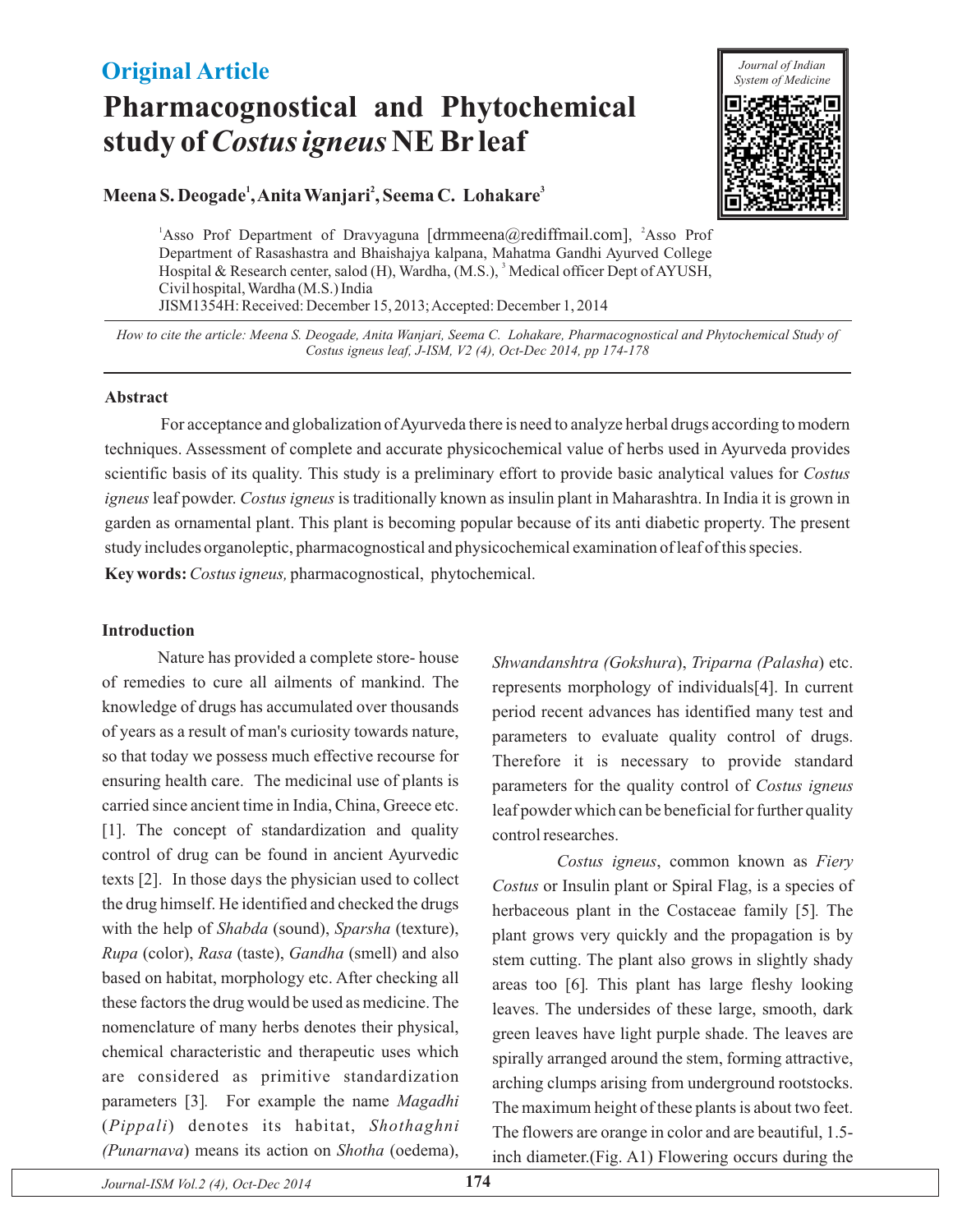## **Original Article**

# **Pharmacognostical and Phytochemical study of Costus igneus NE Br leaf**



#### **Meena S. Deogade<sup>1</sup>, Anita Wanjari<sup>2</sup>, Seema C. Lohakare<sup>3</sup>**

<sup>1</sup>Asso Prof Department of Dravyaguna [drmmeena@rediffmail.com], <sup>2</sup>Asso Prof Hospital & Research center, salod (H), Wardha, (M.S.), <sup>3</sup> Medical officer Dept of AYUSH, Department of Rasashastra and Bhaishajya kalpana, Mahatma Gandhi Ayurved College Civil hospital, Wardha (M.S.) India JISM1354H: Received: December 15, 2013;Accepted: December 1, 2014

*How to cite the article: Meena S. Deogade, Anita Wanjari, Seema C. Lohakare, Pharmacognostical and Phytochemical Study of J-ISM, V2 4), Oct-Dec 2014, pp 174-178 Costus igneus leaf, (*

#### **Abstract**

Key words: Costus igneus, pharmacognostical, phytochemical. For acceptance and globalization of Ayurveda there is need to analyze herbal drugs according to modern techniques. Assessment of complete and accurate physicochemical value of herbs used in Ayurveda provides scientific basis of its quality. This study is a preliminary effort to provide basic analytical values for *Costus igneus* leaf powder. *Costus igneus* is traditionally known as insulin plant in Maharashtra. In India it is grown in garden as ornamental plant. This plant is becoming popular because of its anti diabetic property. The present study includes organoleptic, pharmacognostical and physicochemical examination of leaf of this species.

## **Introduction**

Nature has provided a complete store- house of remedies to cure all ailments of mankind. The knowledge of drugs has accumulated over thousands of years as a result of man's curiosity towards nature, so that today we possess much effective recourse for ensuring health care. The medicinal use of plants is carried since ancient time in India, China, Greece etc. [1]. The concept of standardization and quality control of drug can be found in ancient Ayurvedic texts [2]. In those days the physician used to collect the drug himself. He identified and checked the drugs with the help of Shabda (sound), Sparsha (texture), Rupa (color), Rasa (taste), Gandha (smell) and also based on habitat, morphology etc. After checking all these factors the drug would be used as medicine. The nomenclature of many herbs denotes their physical, chemical characteristic and therapeutic uses which are considered as primitive standardization parameters [3]. For example the name Magadhi (Pippali) denotes its habitat, Shothaghni (Punarnava) means its action on Shotha (oedema),

Shwandanshtra (Gokshura), Triparna (Palasha) etc. *Costus igneus* parameters for the quality control of represents morphology of individuals[4]. In current period recent advances has identified many test and parameters to evaluate quality control of drugs. Therefore it is necessary to provide standard leaf powder which can be beneficial for further quality control researches.

Costus igneus, common known as Fiery *Costus* or Insulin plant or Spiral Flag, is a species of herbaceous plant in the Costaceae family [5]. The areas too [6]. This plant has large fleshy looking plant grows very quickly and the propagation is by stem cutting. The plant also grows in slightly shady leaves. The undersides of these large, smooth, dark green leaves have light purple shade. The leaves are spirally arranged around the stem, forming attractive, arching clumps arising from underground rootstocks. The maximum height of these plants is about two feet. The flowers are orange in color and are beautiful, 1.5 inch diameter.(Fig. A1) Flowering occurs during the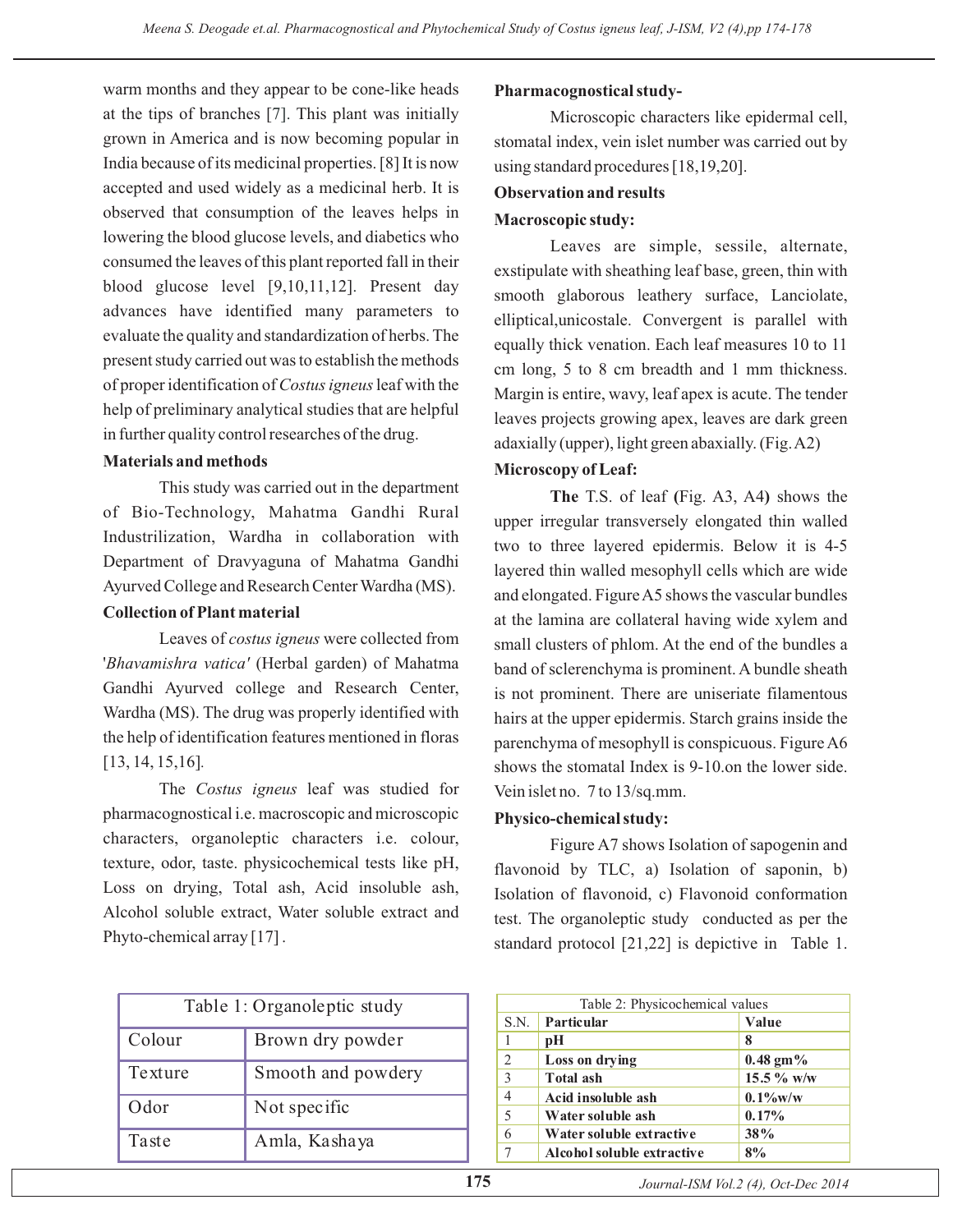warm months and they appear to be cone-like heads at the tips of branches [7]. This plant was initially grown in America and is now becoming popular in India because of its medicinal properties. [8] It is now accepted and used widely as a medicinal herb. It is observed that consumption of the leaves helps in lowering the blood glucose levels, and diabetics who consumed the leaves of this plant reported fall in their blood glucose level  $[9,10,11,12]$ . Present day advances have identified many parameters to evaluate the quality and standardization of herbs. The present study carried out was to establish the methods of proper identification of Costus igneus leaf with the help of preliminary analytical studies that are helpful in further quality control researches of the drug.

#### **Materials and methods**

This study was carried out in the department of Bio-Technology, Mahatma Gandhi Rural Industrilization, Wardha in collaboration with Department of Dravyaguna of Mahatma Gandhi Ayurved College and Research Center Wardha (MS).

#### **Collection of Plant material**

Leaves of costus igneus were collected from 'Bhavamishra vatica' (Herbal garden) of Mahatma Gandhi Ayurved college and Research Center, Wardha (MS). The drug was properly identified with the help of identification features mentioned in floras [13, 14, 15,16] *.*

The Costus igneus leaf was studied for pharmacognostical i.e. macroscopic and microscopic characters, organoleptic characters i.e. colour, texture, odor, taste. physicochemical tests like pH, Loss on drying, Total ash, Acid insoluble ash, Alcohol soluble extract, Water soluble extract and Phyto-chemical array [17].

| Table 1: Organoleptic study |                    |  |  |  |  |
|-----------------------------|--------------------|--|--|--|--|
| Colour                      | Brown dry powder   |  |  |  |  |
| Texture                     | Smooth and powdery |  |  |  |  |
| Odor                        | Not specific       |  |  |  |  |
| Taste                       | Amla, Kashaya      |  |  |  |  |

#### **Pharmacognostical study-**

Microscopic characters like epidermal cell, stomatal index, vein islet number was carried out by using standard procedures [18,19,20].

#### **Observation and results**

#### **Macroscopic study:**

Leaves are simple, sessile, alternate, exstipulate with sheathing leaf base, green, thin with smooth glaborous leathery surface, Lanciolate, elliptical,unicostale. Convergent is parallel with equally thick venation. Each leaf measures 10 to 11 cm long, 5 to 8 cm breadth and 1 mm thickness. Margin is entire, wavy, leaf apex is acute. The tender leaves projects growing apex, leaves are dark green adaxially (upper), light green abaxially. (Fig.A2)

#### **Microscopy of Leaf:**

The T.S. of leaf (Fig. A3, A4) shows the upper irregular transversely elongated thin walled two to three layered epidermis. Below it is 4-5 layered thin walled mesophyll cells which are wide and elongated. FigureA5 shows the vascular bundles at the lamina are collateral having wide xylem and small clusters of phlom. At the end of the bundles a band of sclerenchyma is prominent. A bundle sheath is not prominent. There are uniseriate filamentous hairs at the upper epidermis. Starch grains inside the parenchyma of mesophyll is conspicuous. Figure A6 shows the stomatal Index is 9-10.on the lower side. Vein islet no. 7 to 13/sq.mm.

#### **Physico-chemical study:**

Figure A7 shows Isolation of sapogenin and flavonoid by TLC, a) Isolation of saponin, b) Isolation of flavonoid, c) Flavonoid conformation test. The organoleptic study conducted as per the standard protocol [21,22] is depictive in Table 1.

| Table 2: Physicochemical values |                            |             |  |  |  |  |
|---------------------------------|----------------------------|-------------|--|--|--|--|
| S.N.                            | Particular                 | Value       |  |  |  |  |
| 1                               | рH                         | 8           |  |  |  |  |
| 2                               | Loss on drying             | $0.48$ gm%  |  |  |  |  |
| 3                               | Total ash                  | 15.5 % w/w  |  |  |  |  |
| $\overline{4}$                  | Acid insoluble ash         | $0.1\%$ w/w |  |  |  |  |
| 5                               | Water soluble ash          | 0.17%       |  |  |  |  |
| 6                               | Water soluble extractive   | 38%         |  |  |  |  |
|                                 | Alcohol soluble extractive | 8%          |  |  |  |  |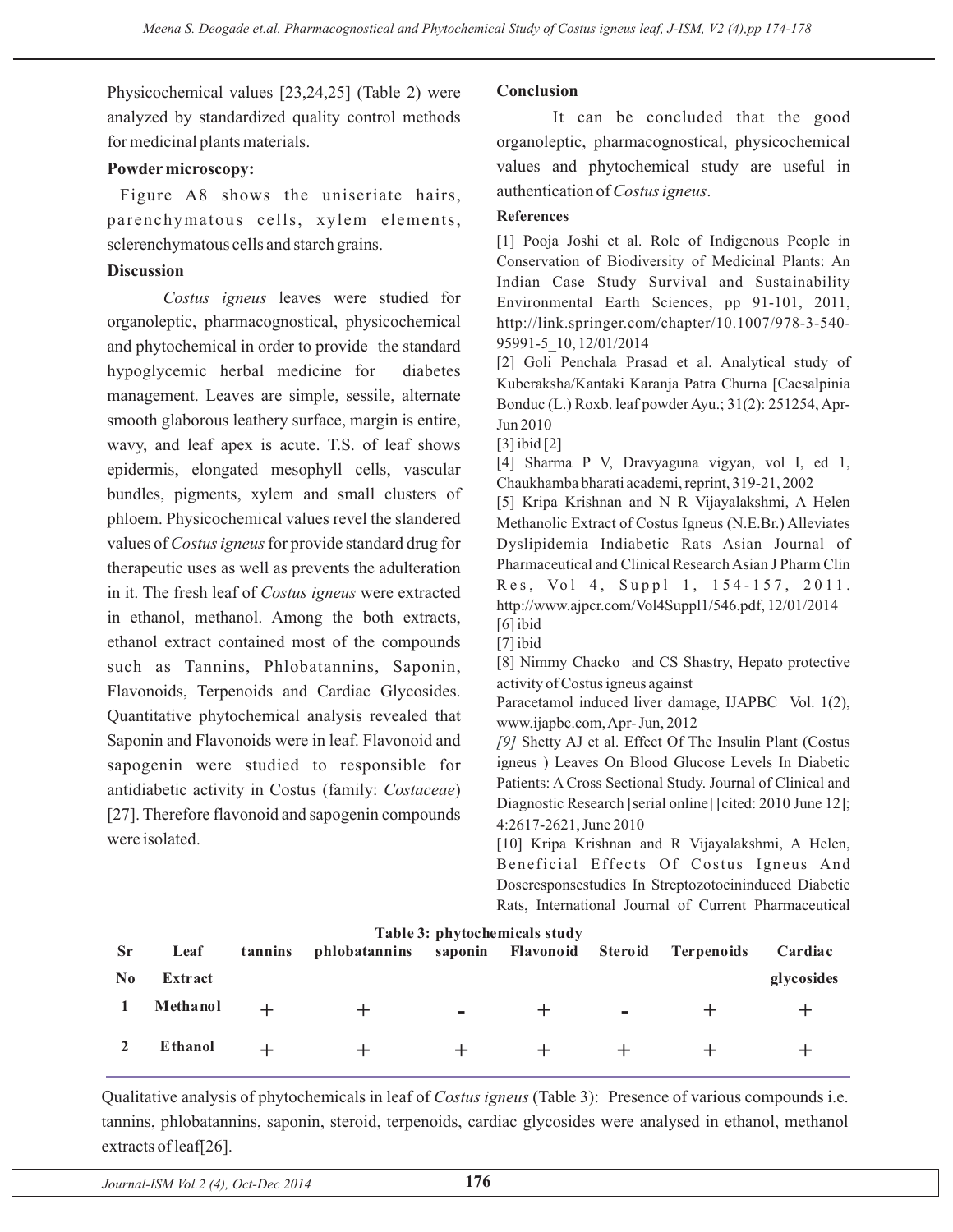Physicochemical values [23,24,25] (Table 2) were analyzed by standardized quality control methods for medicinal plants materials.

#### **Powder microscopy:**

Figure A8 shows the uniseriate hairs, parenchymatous cells, xylem elements, sclerenchymatous cells and starch grains.

#### **Discussion**

Costus igneus leaves were studied for organoleptic, pharmacognostical, physicochemical and phytochemical in order to provide the standard hypoglycemic herbal medicine for diabetes management. Leaves are simple, sessile, alternate smooth glaborous leathery surface, margin is entire, wavy, and leaf apex is acute. T.S. of leaf shows epidermis, elongated mesophyll cells, vascular bundles, pigments, xylem and small clusters of phloem. Physicochemical values revel the slandered values of Costus igneus for provide standard drug for therapeutic uses as well as prevents the adulteration in it. The fresh leaf of Costus igneus were extracted in ethanol, methanol. Among the both extracts, ethanol extract contained most of the compounds such as Tannins, Phlobatannins, Saponin, Flavonoids, Terpenoids and Cardiac Glycosides. Quantitative phytochemical analysis revealed that Saponin and Flavonoids were in leaf. Flavonoid and sapogenin were studied to responsible for antidiabetic activity in Costus (family: Costaceae) [27]. Therefore flavonoid and sapogenin compounds were isolated.

#### **Conclusion**

It can be concluded that the good organoleptic, pharmacognostical, physicochemical values and phytochemical study are useful in authentication of *Costus igneus*.

#### **References**

[1] Pooja Joshi et al. Role of Indigenous People in Conservation of Biodiversity of Medicinal Plants: An Indian Case Study Survival and Sustainability Environmental Earth Sciences, pp 91-101, 2011, http://link.springer.com/chapter/10.1007/978-3-540- 95991-5\_10, 12/01/2014

[2] Goli Penchala Prasad et al. Analytical study of Kuberaksha/Kantaki Karanja Patra Churna [Caesalpinia Bonduc (L.) Roxb. leaf powder Ayu.; 31(2): 251254, Apr-Jun 2010

[3] ibid [2]

[4] Sharma P V, Dravyaguna vigyan, vol I, ed 1, Chaukhamba bharati academi, reprint, 319-21, 2002

[5] Kripa Krishnan and N R Vijayalakshmi, A Helen Methanolic Extract of Costus Igneus (N.E.Br.) Alleviates Dyslipidemia Indiabetic Rats Asian Journal of Pharmaceutical and Clinical Research Asian J Pharm Clin Res, Vol 4, Suppl 1, 154-157, 2011. http://www.ajpcr.com/Vol4Suppl1/546.pdf, 12/01/2014

[6] ibid

[7] ibid

[8] Nimmy Chacko and CS Shastry, Hepato protective activity of Costus igneus against

Paracetamol induced liver damage, IJAPBC Vol. 1(2), www.ijapbc.com,Apr- Jun, 2012

[9] Shetty AJ et al. Effect Of The Insulin Plant (Costus igneus ) Leaves On Blood Glucose Levels In Diabetic Patients: A Cross Sectional Study. Journal of Clinical and Diagnostic Research [serial online] [cited: 2010 June 12]; 4:2617-2621, June 2010

[10] Kripa Krishnan and R Vijayalakshmi, A Helen, Beneficial Effects Of Costus Igneus And Doseresponsestudies In Streptozotocininduced Diabetic Rats, International Journal of Current Pharmaceutical

| Table 3: phytochemicals study |                 |         |               |                |                   |                |                   |            |  |  |
|-------------------------------|-----------------|---------|---------------|----------------|-------------------|----------------|-------------------|------------|--|--|
| <b>Sr</b>                     | Leaf            | tannins | phlobatannins |                | saponin Flavonoid | <b>Steroid</b> | <b>Terpenoids</b> | Cardiac    |  |  |
| N <sub>0</sub>                | Extract         |         |               |                |                   |                |                   | glycosides |  |  |
|                               | Methanol        |         |               | $\blacksquare$ |                   | $\equiv$       |                   |            |  |  |
|                               | <b>E</b> thanol |         |               |                |                   |                |                   |            |  |  |

Qualitative analysis of phytochemicals in leaf of Costus igneus (Table 3): Presence of various compounds i.e. tannins, phlobatannins, saponin, steroid, terpenoids, cardiac glycosides were analysed in ethanol, methanol extracts of leaf[26].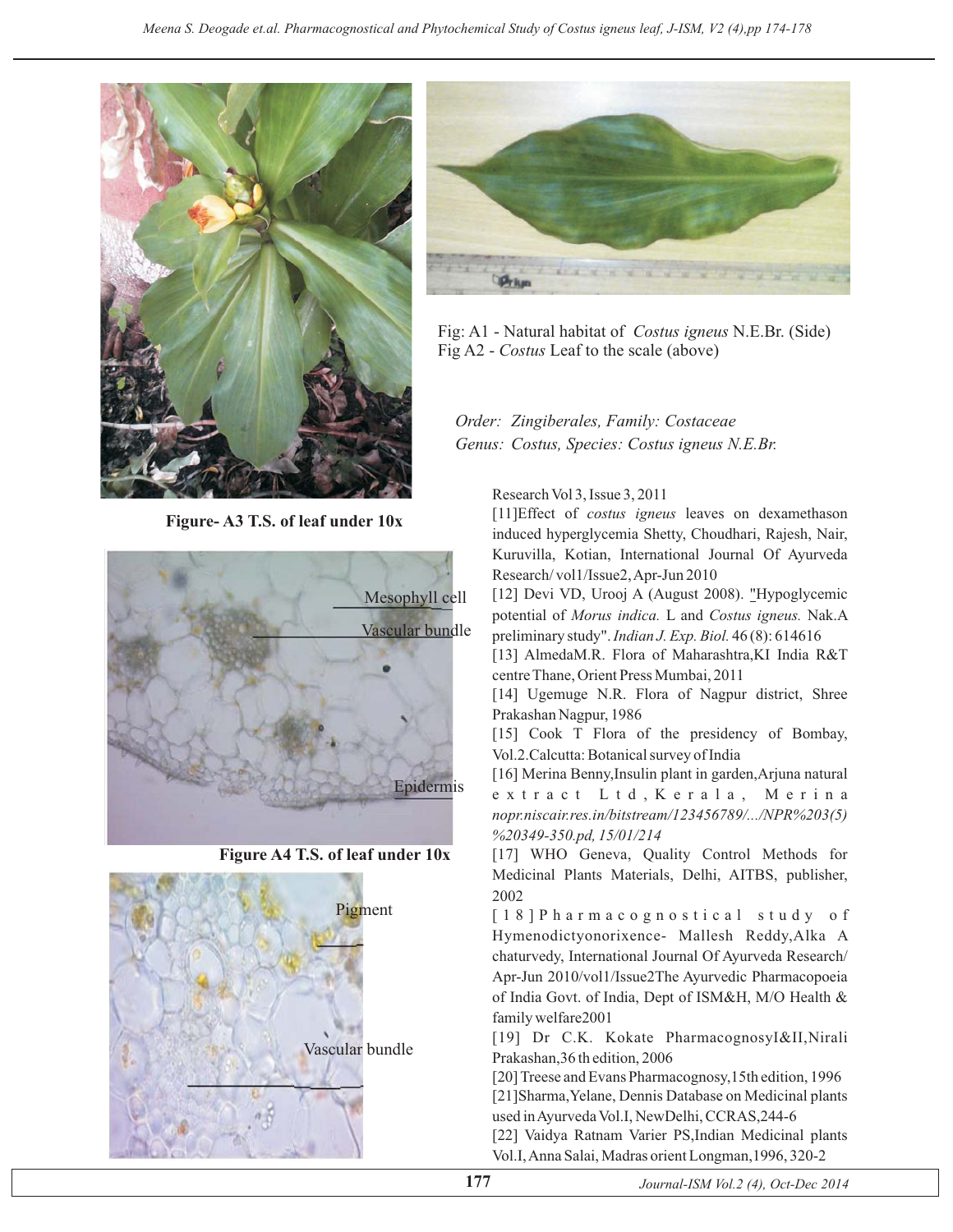

**Figure- A3 T.S. of leaf under 10x**



**Figure A4 T.S. of leaf under 10x**





Fig: A1 - Natural habitat of *Costus igneus* N.E.Br. (Side) Fig A2 - Costus Leaf to the scale (above)

### *Order: Zingiberales, Family: Costaceae Genus: Costus, Species: Costus igneus N.E.Br.*

Research Vol 3, Issue 3, 2011

[11]Effect of costus igneus leaves on dexamethason induced hyperglycemia Shetty, Choudhari, Rajesh, Nair, Kuruvilla, Kotian, International Journal Of Ayurveda Research/ vol1/Issue2,Apr-Jun 2010

[12] Devi VD, Urooj A (August 2008). "Hypoglycemic potential of Morus indica. L and Costus igneus. Nak.A preliminary study". *Indian J. Exp. Biol.* 46(8): 614616

[13] AlmedaM.R. Flora of Maharashtra,KI India R&T centre Thane, Orient Press Mumbai, 2011

[14] Ugemuge N.R. Flora of Nagpur district, Shree Prakashan Nagpur, 1986

[15] Cook T Flora of the presidency of Bombay, Vol.2.Calcutta: Botanical survey of India

[16] Merina Benny,Insulin plant in garden,Arjuna natural extract Ltd,Kerala, Merina *nopr.niscair.res.in/bitstream/123456789/.../NPR%203(5) %20349-350.pd, 15/01/214*

[17] WHO Geneva, Quality Control Methods for Medicinal Plants Materials, Delhi, AITBS, publisher, 2002

[18]Pharmacognostical study of Hymenodictyonorixence- Mallesh Reddy,Alka A chaturvedy, International Journal Of Ayurveda Research/ Apr-Jun 2010/vol1/Issue2The Ayurvedic Pharmacopoeia of India Govt. of India, Dept of ISM&H, M/O Health & family welfare2001

[19] Dr C.K. Kokate PharmacognosyI&II,Nirali Prakashan,36 th edition, 2006

[20] Treese and Evans Pharmacognosy,15th edition, 1996 [21]Sharma,Yelane, Dennis Database on Medicinal plants used inAyurveda Vol.I, NewDelhi, CCRAS,244-6

[22] Vaidya Ratnam Varier PS,Indian Medicinal plants Vol.I,Anna Salai, Madras orient Longman,1996, 320-2